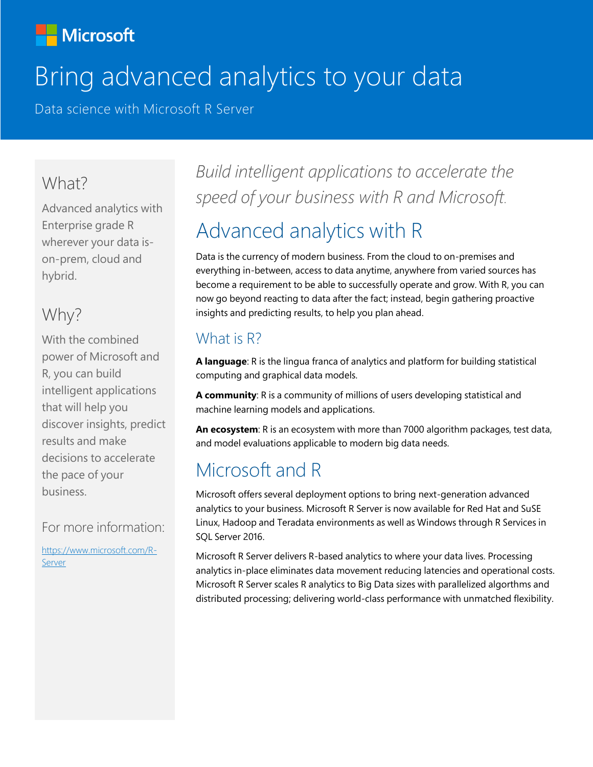### **Nicrosoft**

# Bring advanced analytics to your data

Data science with Microsoft R Server

#### What?

Advanced analytics with Enterprise grade R wherever your data ison-prem, cloud and hybrid.

### Why?

With the combined power of Microsoft and R, you can build intelligent applications that will help you discover insights, predict results and make decisions to accelerate the pace of your business.

#### For more information:

[https://www.microsoft.com/R-](https://www.microsoft.com/R-%20Server)[Server](https://www.microsoft.com/R-%20Server)

*Build intelligent applications to accelerate the speed of your business with R and Microsoft.*

# Advanced analytics with R

Data is the currency of modern business. From the cloud to on-premises and everything in-between, access to data anytime, anywhere from varied sources has become a requirement to be able to successfully operate and grow. With R, you can now go beyond reacting to data after the fact; instead, begin gathering proactive insights and predicting results, to help you plan ahead.

#### What is R?

**A language**: R is the lingua franca of analytics and platform for building statistical computing and graphical data models.

**A community**: R is a community of millions of users developing statistical and machine learning models and applications.

**An ecosystem**: R is an ecosystem with more than 7000 algorithm packages, test data, and model evaluations applicable to modern big data needs.

# Microsoft and R

Microsoft offers several deployment options to bring next-generation advanced analytics to your business. Microsoft R Server is now available for Red Hat and SuSE Linux, Hadoop and Teradata environments as well as Windows through R Services in SQL Server 2016.

Microsoft R Server delivers R-based analytics to where your data lives. Processing analytics in-place eliminates data movement reducing latencies and operational costs. Microsoft R Server scales R analytics to Big Data sizes with parallelized algorthms and distributed processing; delivering world-class performance with unmatched flexibility.